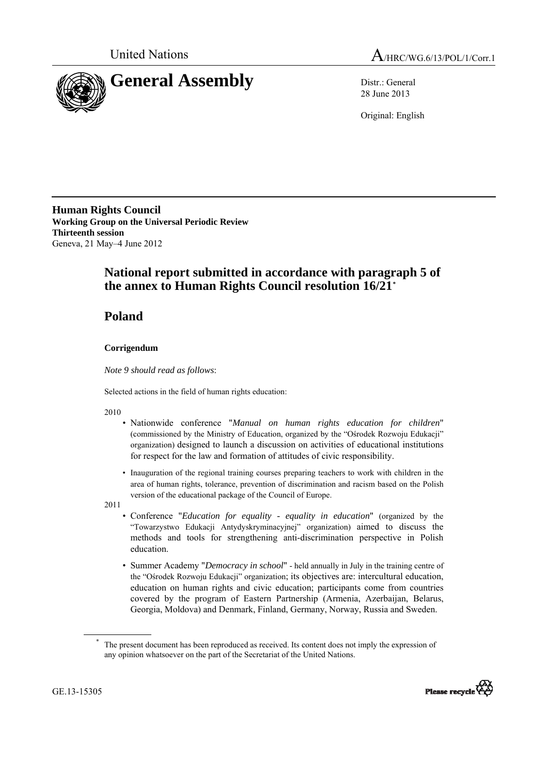



28 June 2013

Original: English

**Human Rights Council Working Group on the Universal Periodic Review Thirteenth session**  Geneva, 21 May–4 June 2012

## **National report submitted in accordance with paragraph 5 of the annex to Human Rights Council resolution 16/21[\\*](#page-0-0)**

## **Poland**

## **Corrigendum**

*Note 9 should read as follows*:

Selected actions in the field of human rights education:

2010

- Nationwide conference "*Manual on human rights education for children*" (commissioned by the Ministry of Education, organized by the "Ośrodek Rozwoju Edukacji" organization) designed to launch a discussion on activities of educational institutions for respect for the law and formation of attitudes of civic responsibility.
- Inauguration of the regional training courses preparing teachers to work with children in the area of human rights, tolerance, prevention of discrimination and racism based on the Polish version of the educational package of the Council of Europe.

2011

- Conference "*Education for equality equality in education*" (organized by the "Towarzystwo Edukacji Antydyskryminacyjnej" organization) aimed to discuss the methods and tools for strengthening anti-discrimination perspective in Polish education.
- Summer Academy "*Democracy in school*" held annually in July in the training centre of the "Ośrodek Rozwoju Edukacji" organization; its objectives are: intercultural education, education on human rights and civic education; participants come from countries covered by the program of Eastern Partnership (Armenia, Azerbaijan, Belarus, Georgia, Moldova) and Denmark, Finland, Germany, Norway, Russia and Sweden.

<span id="page-0-0"></span>The present document has been reproduced as received. Its content does not imply the expression of any opinion whatsoever on the part of the Secretariat of the United Nations.